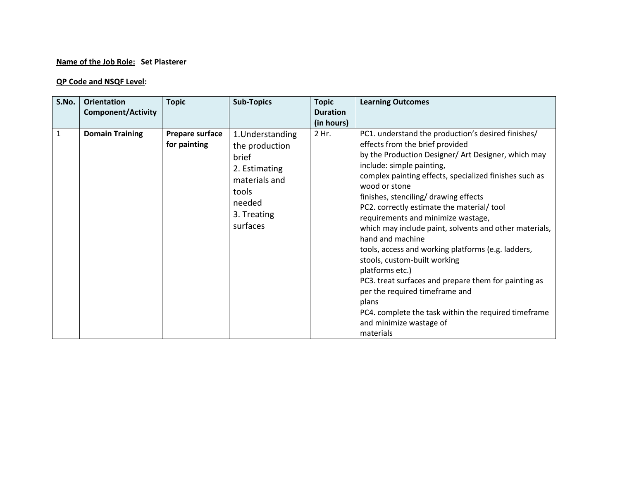## **Name of the Job Role: Set Plasterer**

## **QP Code and NSQF Level:**

| S.No.        | <b>Orientation</b><br><b>Component/Activity</b> | <b>Topic</b>                    | <b>Sub-Topics</b>                                                                                                           | <b>Topic</b><br><b>Duration</b> | <b>Learning Outcomes</b>                                                                                                                                                                                                                                                                                                                                                                                                                                                                                                                                                                                                                                                                                                           |
|--------------|-------------------------------------------------|---------------------------------|-----------------------------------------------------------------------------------------------------------------------------|---------------------------------|------------------------------------------------------------------------------------------------------------------------------------------------------------------------------------------------------------------------------------------------------------------------------------------------------------------------------------------------------------------------------------------------------------------------------------------------------------------------------------------------------------------------------------------------------------------------------------------------------------------------------------------------------------------------------------------------------------------------------------|
| $\mathbf{1}$ | <b>Domain Training</b>                          | Prepare surface<br>for painting | 1. Understanding<br>the production<br>brief<br>2. Estimating<br>materials and<br>tools<br>needed<br>3. Treating<br>surfaces | (in hours)<br>2 Hr.             | PC1. understand the production's desired finishes/<br>effects from the brief provided<br>by the Production Designer/ Art Designer, which may<br>include: simple painting,<br>complex painting effects, specialized finishes such as<br>wood or stone<br>finishes, stenciling/ drawing effects<br>PC2. correctly estimate the material/tool<br>requirements and minimize wastage,<br>which may include paint, solvents and other materials,<br>hand and machine<br>tools, access and working platforms (e.g. ladders,<br>stools, custom-built working<br>platforms etc.)<br>PC3. treat surfaces and prepare them for painting as<br>per the required timeframe and<br>plans<br>PC4. complete the task within the required timeframe |
|              |                                                 |                                 |                                                                                                                             |                                 | and minimize wastage of<br>materials                                                                                                                                                                                                                                                                                                                                                                                                                                                                                                                                                                                                                                                                                               |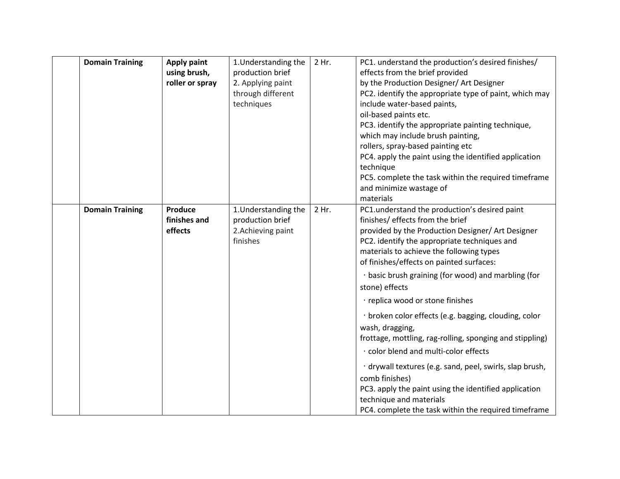| <b>Domain Training</b> | <b>Apply paint</b><br>using brush,<br>roller or spray | 1. Understanding the<br>production brief<br>2. Applying paint<br>through different<br>techniques | 2 Hr. | PC1. understand the production's desired finishes/<br>effects from the brief provided<br>by the Production Designer/ Art Designer<br>PC2. identify the appropriate type of paint, which may<br>include water-based paints,<br>oil-based paints etc.<br>PC3. identify the appropriate painting technique,<br>which may include brush painting,<br>rollers, spray-based painting etc<br>PC4. apply the paint using the identified application<br>technique<br>PC5. complete the task within the required timeframe<br>and minimize wastage of<br>materials                                                                                                                                                                                                                                               |
|------------------------|-------------------------------------------------------|--------------------------------------------------------------------------------------------------|-------|--------------------------------------------------------------------------------------------------------------------------------------------------------------------------------------------------------------------------------------------------------------------------------------------------------------------------------------------------------------------------------------------------------------------------------------------------------------------------------------------------------------------------------------------------------------------------------------------------------------------------------------------------------------------------------------------------------------------------------------------------------------------------------------------------------|
| <b>Domain Training</b> | Produce<br>finishes and<br>effects                    | 1. Understanding the<br>production brief<br>2. Achieving paint<br>finishes                       | 2 Hr. | PC1.understand the production's desired paint<br>finishes/ effects from the brief<br>provided by the Production Designer/ Art Designer<br>PC2. identify the appropriate techniques and<br>materials to achieve the following types<br>of finishes/effects on painted surfaces:<br>· basic brush graining (for wood) and marbling (for<br>stone) effects<br>· replica wood or stone finishes<br>· broken color effects (e.g. bagging, clouding, color<br>wash, dragging,<br>frottage, mottling, rag-rolling, sponging and stippling)<br>· color blend and multi-color effects<br>· drywall textures (e.g. sand, peel, swirls, slap brush,<br>comb finishes)<br>PC3. apply the paint using the identified application<br>technique and materials<br>PC4. complete the task within the required timeframe |